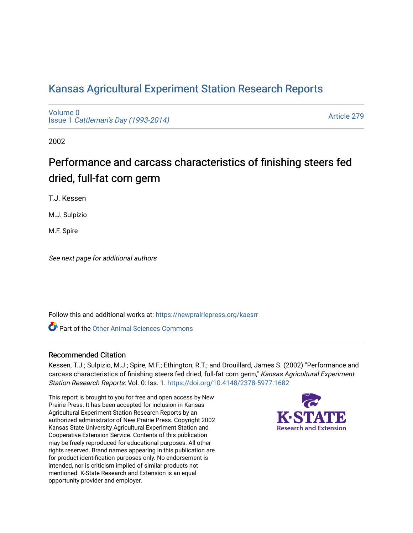# [Kansas Agricultural Experiment Station Research Reports](https://newprairiepress.org/kaesrr)

[Volume 0](https://newprairiepress.org/kaesrr/vol0) Issue 1 [Cattleman's Day \(1993-2014\)](https://newprairiepress.org/kaesrr/vol0/iss1) 

[Article 279](https://newprairiepress.org/kaesrr/vol0/iss1/279) 

2002

# Performance and carcass characteristics of finishing steers fed dried, full-fat corn germ

T.J. Kessen

M.J. Sulpizio

M.F. Spire

See next page for additional authors

Follow this and additional works at: [https://newprairiepress.org/kaesrr](https://newprairiepress.org/kaesrr?utm_source=newprairiepress.org%2Fkaesrr%2Fvol0%2Fiss1%2F279&utm_medium=PDF&utm_campaign=PDFCoverPages) 

**C** Part of the [Other Animal Sciences Commons](http://network.bepress.com/hgg/discipline/82?utm_source=newprairiepress.org%2Fkaesrr%2Fvol0%2Fiss1%2F279&utm_medium=PDF&utm_campaign=PDFCoverPages)

# Recommended Citation

Kessen, T.J.; Sulpizio, M.J.; Spire, M.F.; Ethington, R.T.; and Drouillard, James S. (2002) "Performance and carcass characteristics of finishing steers fed dried, full-fat corn germ," Kansas Agricultural Experiment Station Research Reports: Vol. 0: Iss. 1.<https://doi.org/10.4148/2378-5977.1682>

This report is brought to you for free and open access by New Prairie Press. It has been accepted for inclusion in Kansas Agricultural Experiment Station Research Reports by an authorized administrator of New Prairie Press. Copyright 2002 Kansas State University Agricultural Experiment Station and Cooperative Extension Service. Contents of this publication may be freely reproduced for educational purposes. All other rights reserved. Brand names appearing in this publication are for product identification purposes only. No endorsement is intended, nor is criticism implied of similar products not mentioned. K-State Research and Extension is an equal opportunity provider and employer.

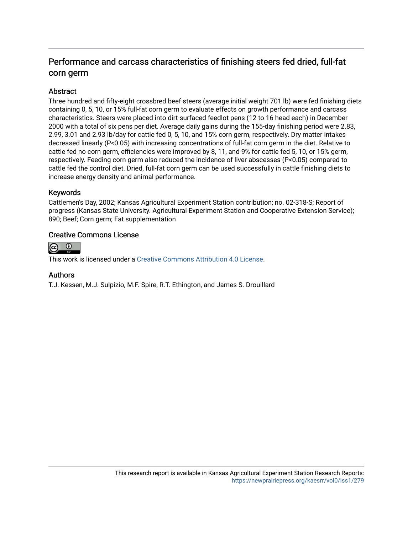# Performance and carcass characteristics of finishing steers fed dried, full-fat corn germ

# **Abstract**

Three hundred and fifty-eight crossbred beef steers (average initial weight 701 lb) were fed finishing diets containing 0, 5, 10, or 15% full-fat corn germ to evaluate effects on growth performance and carcass characteristics. Steers were placed into dirt-surfaced feedlot pens (12 to 16 head each) in December 2000 with a total of six pens per diet. Average daily gains during the 155-day finishing period were 2.83, 2.99, 3.01 and 2.93 lb/day for cattle fed 0, 5, 10, and 15% corn germ, respectively. Dry matter intakes decreased linearly (P<0.05) with increasing concentrations of full-fat corn germ in the diet. Relative to cattle fed no corn germ, efficiencies were improved by 8, 11, and 9% for cattle fed 5, 10, or 15% germ, respectively. Feeding corn germ also reduced the incidence of liver abscesses (P<0.05) compared to cattle fed the control diet. Dried, full-fat corn germ can be used successfully in cattle finishing diets to increase energy density and animal performance.

# Keywords

Cattlemen's Day, 2002; Kansas Agricultural Experiment Station contribution; no. 02-318-S; Report of progress (Kansas State University. Agricultural Experiment Station and Cooperative Extension Service); 890; Beef; Corn germ; Fat supplementation

### Creative Commons License



This work is licensed under a [Creative Commons Attribution 4.0 License](https://creativecommons.org/licenses/by/4.0/).

#### Authors

T.J. Kessen, M.J. Sulpizio, M.F. Spire, R.T. Ethington, and James S. Drouillard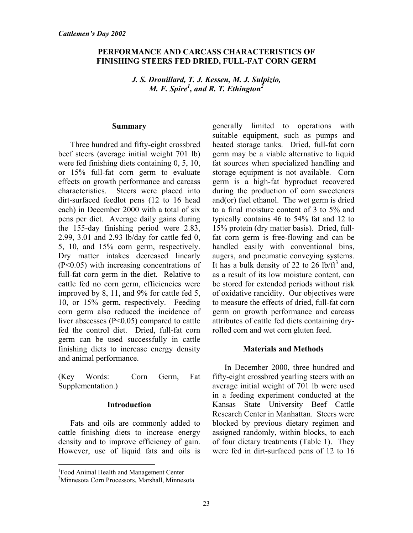# **PERFORMANCE AND CARCASS CHARACTERISTICS OF FINISHING STEERS FED DRIED, FULL-FAT CORN GERM**

*J. S. Drouillard, T. J. Kessen, M. J. Sulpizio, M. F. Spire<sup>1</sup> , and R. T. Ethington2*

#### **Summary**

Three hundred and fifty-eight crossbred beef steers (average initial weight 701 lb) were fed finishing diets containing 0, 5, 10, or 15% full-fat corn germ to evaluate effects on growth performance and carcass characteristics. Steers were placed into dirt-surfaced feedlot pens (12 to 16 head each) in December 2000 with a total of six pens per diet. Average daily gains during the 155-day finishing period were 2.83, 2.99, 3.01 and 2.93 lb/day for cattle fed 0, 5, 10, and 15% corn germ, respectively. Dry matter intakes decreased linearly (P<0.05) with increasing concentrations of full-fat corn germ in the diet. Relative to cattle fed no corn germ, efficiencies were improved by 8, 11, and 9% for cattle fed 5, 10, or 15% germ, respectively. Feeding corn germ also reduced the incidence of liver abscesses (P<0.05) compared to cattle fed the control diet. Dried, full-fat corn germ can be used successfully in cattle finishing diets to increase energy density and animal performance.

(Key Words: Corn Germ, Fat Supplementation.)

# **Introduction**

Fats and oils are commonly added to cattle finishing diets to increase energy density and to improve efficiency of gain. However, use of liquid fats and oils is

 $\overline{a}$ 

generally limited to operations with suitable equipment, such as pumps and heated storage tanks. Dried, full-fat corn germ may be a viable alternative to liquid fat sources when specialized handling and storage equipment is not available. Corn germ is a high-fat byproduct recovered during the production of corn sweeteners and(or) fuel ethanol. The wet germ is dried to a final moisture content of 3 to 5% and typically contains 46 to 54% fat and 12 to 15% protein (dry matter basis). Dried, fullfat corn germ is free-flowing and can be handled easily with conventional bins, augers, and pneumatic conveying systems. It has a bulk density of 22 to  $26$  lb/ft<sup>3</sup> and, as a result of its low moisture content, can be stored for extended periods without risk of oxidative rancidity. Our objectives were to measure the effects of dried, full-fat corn germ on growth performance and carcass attributes of cattle fed diets containing dryrolled corn and wet corn gluten feed.

# **Materials and Methods**

In December 2000, three hundred and fifty-eight crossbred yearling steers with an average initial weight of 701 lb were used in a feeding experiment conducted at the Kansas State University Beef Cattle Research Center in Manhattan. Steers were blocked by previous dietary regimen and assigned randomly, within blocks, to each of four dietary treatments (Table 1). They were fed in dirt-surfaced pens of 12 to 16

<sup>&</sup>lt;sup>1</sup> Food Animal Health and Management Center

<sup>2</sup> Minnesota Corn Processors, Marshall, Minnesota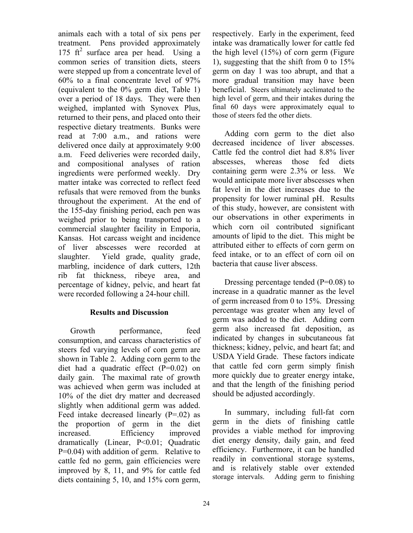animals each with a total of six pens per treatment. Pens provided approximately 175  $ft<sup>2</sup>$  surface area per head. Using a common series of transition diets, steers were stepped up from a concentrate level of 60% to a final concentrate level of 97% (equivalent to the 0% germ diet, Table 1) over a period of 18 days. They were then weighed, implanted with Synovex Plus, returned to their pens, and placed onto their respective dietary treatments. Bunks were read at 7:00 a.m., and rations were delivered once daily at approximately 9:00 a.m. Feed deliveries were recorded daily, and compositional analyses of ration ingredients were performed weekly. Dry matter intake was corrected to reflect feed refusals that were removed from the bunks throughout the experiment. At the end of the 155-day finishing period, each pen was weighed prior to being transported to a commercial slaughter facility in Emporia, Kansas. Hot carcass weight and incidence of liver abscesses were recorded at slaughter. Yield grade, quality grade, marbling, incidence of dark cutters, 12th rib fat thickness, ribeye area, and percentage of kidney, pelvic, and heart fat were recorded following a 24-hour chill.

# **Results and Discussion**

Growth performance, feed consumption, and carcass characteristics of steers fed varying levels of corn germ are shown in Table 2. Adding corn germ to the diet had a quadratic effect (P=0.02) on daily gain. The maximal rate of growth was achieved when germ was included at 10% of the diet dry matter and decreased slightly when additional germ was added. Feed intake decreased linearly  $(P=02)$  as the proportion of germ in the diet increased. Efficiency improved dramatically (Linear, P<0.01; Quadratic P=0.04) with addition of germ. Relative to cattle fed no germ, gain efficiencies were improved by 8, 11, and 9% for cattle fed diets containing 5, 10, and 15% corn germ,

respectively. Early in the experiment, feed intake was dramatically lower for cattle fed the high level (15%) of corn germ (Figure 1), suggesting that the shift from 0 to 15% germ on day 1 was too abrupt, and that a more gradual transition may have been beneficial. Steers ultimately acclimated to the high level of germ, and their intakes during the final 60 days were approximately equal to those of steers fed the other diets.

Adding corn germ to the diet also decreased incidence of liver abscesses. Cattle fed the control diet had 8.8% liver abscesses, whereas those fed diets containing germ were 2.3% or less. We would anticipate more liver abscesses when fat level in the diet increases due to the propensity for lower ruminal pH. Results of this study, however, are consistent with our observations in other experiments in which corn oil contributed significant amounts of lipid to the diet. This might be attributed either to effects of corn germ on feed intake, or to an effect of corn oil on bacteria that cause liver abscess.

Dressing percentage tended  $(P=0.08)$  to increase in a quadratic manner as the level of germ increased from 0 to 15%. Dressing percentage was greater when any level of germ was added to the diet. Adding corn germ also increased fat deposition, as indicated by changes in subcutaneous fat thickness; kidney, pelvic, and heart fat; and USDA Yield Grade. These factors indicate that cattle fed corn germ simply finish more quickly due to greater energy intake, and that the length of the finishing period should be adjusted accordingly.

In summary, including full-fat corn germ in the diets of finishing cattle provides a viable method for improving diet energy density, daily gain, and feed efficiency. Furthermore, it can be handled readily in conventional storage systems, and is relatively stable over extended storage intervals. Adding germ to finishing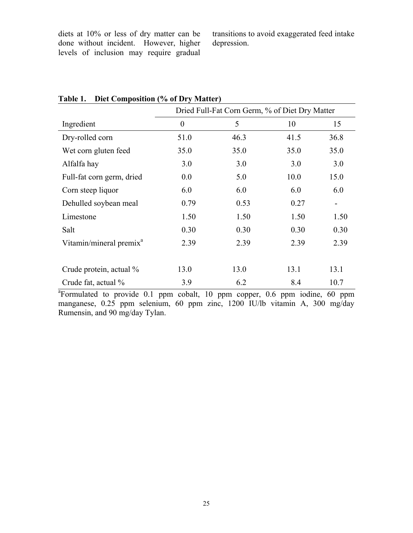diets at 10% or less of dry matter can be done without incident. However, higher levels of inclusion may require gradual transitions to avoid exaggerated feed intake depression.

|                                     | Dried Full-Fat Corn Germ, % of Diet Dry Matter |      |      |                          |  |  |  |
|-------------------------------------|------------------------------------------------|------|------|--------------------------|--|--|--|
| Ingredient                          | $\overline{0}$                                 | 5    | 10   | 15                       |  |  |  |
| Dry-rolled corn                     | 51.0                                           | 46.3 | 41.5 | 36.8                     |  |  |  |
| Wet corn gluten feed                | 35.0                                           | 35.0 | 35.0 | 35.0                     |  |  |  |
| Alfalfa hay                         | 3.0                                            | 3.0  | 3.0  | 3.0                      |  |  |  |
| Full-fat corn germ, dried           | 0.0                                            | 5.0  | 10.0 | 15.0                     |  |  |  |
| Corn steep liquor                   | 6.0                                            | 6.0  | 6.0  | 6.0                      |  |  |  |
| Dehulled soybean meal               | 0.79                                           | 0.53 | 0.27 | $\overline{\phantom{a}}$ |  |  |  |
| Limestone                           | 1.50                                           | 1.50 | 1.50 | 1.50                     |  |  |  |
| Salt                                | 0.30                                           | 0.30 | 0.30 | 0.30                     |  |  |  |
| Vitamin/mineral premix <sup>a</sup> | 2.39                                           | 2.39 | 2.39 | 2.39                     |  |  |  |
|                                     |                                                |      |      |                          |  |  |  |
| Crude protein, actual %             | 13.0                                           | 13.0 | 13.1 | 13.1                     |  |  |  |
| Crude fat, actual %                 | 3.9                                            | 6.2  | 8.4  | 10.7                     |  |  |  |

# **Table 1. Diet Composition (% of Dry Matter)**

<sup>a</sup>Formulated to provide 0.1 ppm cobalt, 10 ppm copper, 0.6 ppm iodine, 60 ppm manganese, 0.25 ppm selenium, 60 ppm zinc, 1200 IU/lb vitamin A, 300 mg/day Rumensin, and 90 mg/day Tylan.